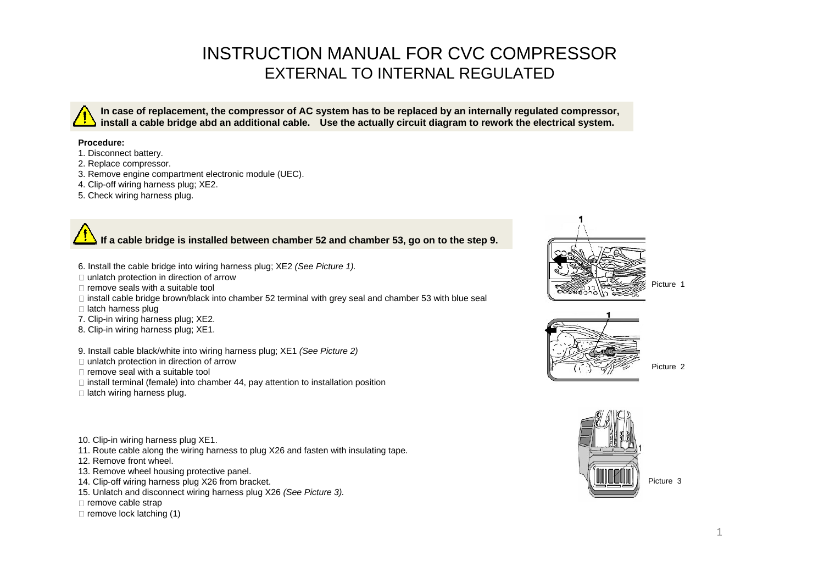## INSTRUCTION MANUAL FOR CVC COMPRESSOR EXTERNAL TO INTERNAL REGULATED

In case of replacement, the compressor of AC system has to be replaced by an internally regulated compressor, install a cable bridge abd an additional cable. Use the actually circuit diagram to rework the electrical system.

## **Procedure:**

- 1. Disconnect battery.
- 2. Replace compressor.
- 3. Remove engine compartment electronic module (UEC).
- 4. Clip-off wiring harness plug; XE2.
- 5. Check wiring harness plug.

## **If a cable bridge is installed between chamber 52 and chamber 53, go on to the step 9.**

- 6. Install the cable bridge into wiring harness plug; XE2 (See Picture 1).
- unlatch protection in direction of arrow the contraction of arrow that contract the contraction of arrow that contract the contraction of arrow that contract the contract of the contraction of arrow that contract the contr
- remove seals with a suitable tool  $\begin{bmatrix} 1 & 0 \end{bmatrix}$
- $\Box$  install cable bridge brown/black into chamber 52 terminal with grey seal and chamber 53 with blue seal
- 
- 7. Clip-in wiring harness plug; XE2.
- 8. Clip-in wiring harness plug; XE1.

9. Install cable black/white into wiring harness plug; XE1 (See Picture 2)

- unlatch protection in direction of arrow the contraction of arrow the contraction of arrow the contraction of arrow the contraction of arrow the contraction of arrow the contraction of arrow the contraction of arrow the co
- remove seal with a suitable tool  $\begin{pmatrix} 1 & 1 & 1 \\ 1 & 1 & 1 \end{pmatrix}$  and  $\begin{pmatrix} 1 & 1 & 1 \\ 1 & 1 & 1 \end{pmatrix}$  and  $\begin{pmatrix} 1 & 1 & 1 \\ 1 & 1 & 1 \end{pmatrix}$
- $\Box$  install terminal (female) into chamber 44, pay attention to installation position
- 
- 10. Clip-in wiring harness plug XE1.
- 11. Route cable along the wiring harness to plug X26 and fasten with insulating tape.
- 12. Remove front wheel.  $\Box$
- 13. Remove wheel housing protective panel.<br>14. Clin-off wiring harness plug X26 from bracket
- 14. Clip-off wiring harness plug X26 from bracket. The contract of the contract of the contract of the contract of the contract of the contract of the contract of the contract of the contract of the contract of the contrac
- 15. Unlatch and disconnect wiring harness plug X26 (See Picture 3).
- remove cable strap

remove lock latching (1)







Picture 2 and 2 and 2 and 2 and 2 and 2 and 2 and 2 and 2 and 2 and 2 and 2 and 2 and 2 and 2 and 2 and 2 and 2